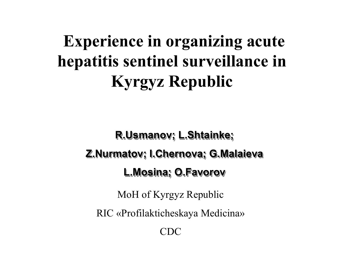# **Experience in organizing acute hepatitis sentinel surveillance in Kyrgyz Republic**

**R.Usmanov R.Usmanov; L.Shtainke; R.Usmanov; L.Shtainke L.Shtainke; Z.Nurmatov; I.Chernova; G.Malaieva Z.Nurmatov Z.Nurmatov; I.Chernova I.Chernova; G.Malaieva G.Malaieva L.Mosina; O.Favorov L.Mosina L.Mosina; O.Favorov O.Favorov**

MoH of Kyrgyz Republic

RIC «Profilakticheskaya Medicina»

 $CDC$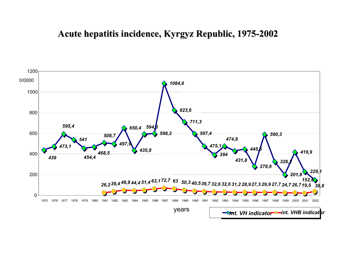#### **Acute hepatitis incidence, Kyrgyz Republic, 1975 Acute hepatitis incidence, Kyrgyz Republic, 1975 -2002**

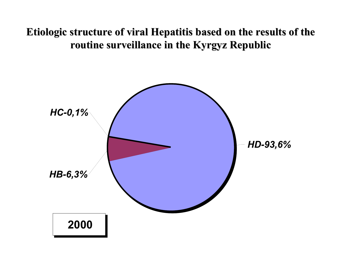#### **Etiologic structure of viral Hepatitis based on the results of the routine surveillance in the Kyrgyz Republic routine surveillance in the Kyrgyz Republic**

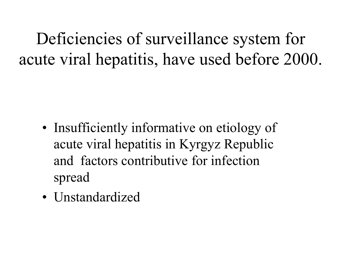Deficiencies of surveillance system for acute viral hepatitis, have used before 2000.

- •• Insufficiently informative on etiology of acute viral hepatitis in Kyrgyz Republic and factors contributive for infection spread
- Unstandardized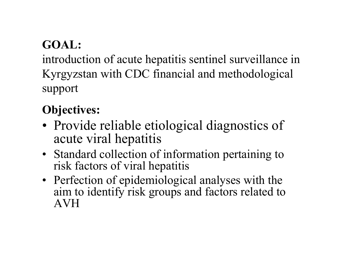# **GOAL:**

introduction of acute hepatitis sentinel surveillance in Kyrgyzstan with CDC financial and methodological support

# **Objectives:**

- Provide reliable etiological diagnostics of acute viral hepatitis
- Standard collection of information pertaining to risk factors of viral hepatitis
- Perfection of epidemiological analyses with the aim to identify risk groups and factors related to AVH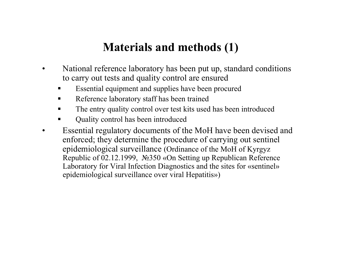## **Materials and methods (1)**

- •National reference laboratory has been put up, standard conditions to carry out tests and quality control are ensured
	- Essential equipment and supplies have been procured
	- $\blacksquare$ Reference laboratory staff has been trained
	- $\blacksquare$ The entry quality control over test kits used has been introduced
	- Quality control has been introduced
- •Essenti al regul atory documents of the MoH have been devised and enforced; they determine the procedure of carrying out sentinel epidemiological surveillance (Ordinance of the MoH of Kyrgyz Republic of 02.12.1999, N°2350 «On Setting up Republican Reference Laboratory for Viral Infection Diagnostics and the sites for «sentinel» epidemiological surveillance over viral Hepatitis»)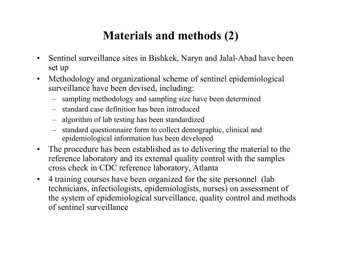# **Materials and methods (2)**

- •Sentinel surveillance sites in Bishkek, Naryn and Jalal-Abad have been set up
- •Methodology and organizational scheme of sentinel epidemiological surveillance have been devised, including:
	- sampling methodology and sampling size have been determined
	- –standard case definition has been introduced
	- algorithm of lab testing has been standardized
	- standard questionnaire form to collect demographic, clinical and epidemiological information has been developed
- $\bullet$ The procedure has been established as to delivering the material to the reference laboratory and its external quality control with the samples cross check in CDC reference laboratory, Atlanta
- $\bullet$ 4 training courses have been organized for the site personnel (lab technicians, infectiologists, epidemiologists, nurses) on assessment of the system of epidemiological surveillance, quality control and methods of sentinel surveillance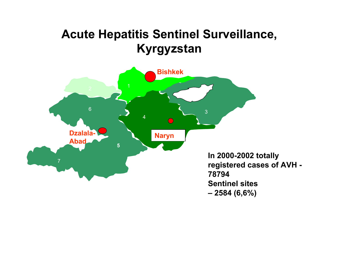# **Acute Hepatitis Sentinel Surveillance, Kyrgyzstan**

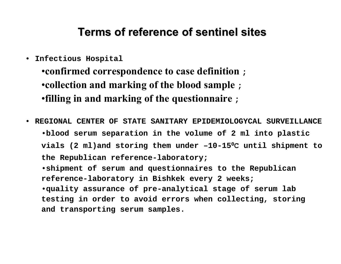#### **Terms of reference of sentinel sites**

• **Infectious Hospital**

•**confirmed correspondence to case definition ;** •**collection and marking of the blood sample ;** •**filling in and marking of the questionnaire ;**

• **REGIONAL CENTER OF STATE SANITARY EPIDEMIOLOGYCAL SURVEILLANCE** •**blood serum separation in the volume of 2 m l into plastic vials (2 ml)and storing them under –10-15 0 С until shipment to the Republican reference-laboratory;**

•**shipment o f serum and questionnaires to the Republican reference-laboratory in Bishkek every 2 weeks;** •**quality assurance of pre-analytical stage of serum lab testing in order to avoid errors when collecting, storing and transporting serum samples.**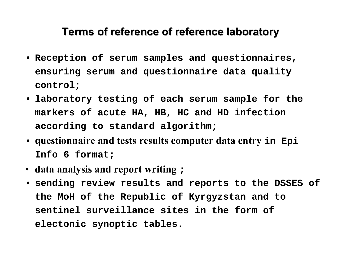#### **Terms of reference of reference laboratory Terms of reference of reference laboratory**

- **Reception of serum samples and questionnaires, ensuring serum and questionnaire data quality control;**
- **laboratory testing of each serum sample for the markers of acute HA, HB, H C and HD infection according to standard algorithm;**
- **<sup>q</sup>uestionnaire and tests results computer data entry in Epi Info6 format;**
- **data analysis and report writing ;**
- **sending review results and reports to the DSSES of the MoH of the Republic of Kyrgyzstan and t o sentinelsurveillance sites in the form of electonic synoptic tables.**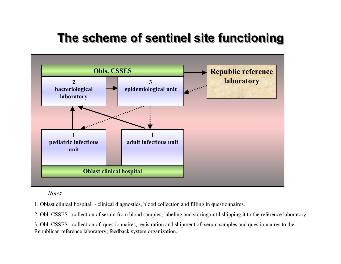# **The scheme of sentinel site functioning The scheme of sentinel site functioning The scheme of sentinel site functioning**



*Note:*

1. Oblast clinical hospital - clinical diagnostics, blood c ollection and filling in questionnaires.

2. Obl. CSSES - collection of serum from blood s amples, labeling and storing until shipping it to the reference laboratory

3. Obl. CSSES -collection of questionnaires, registration a nd shipm ent of serum samples and questionnaires to the Republica n reference laboratory; feedbac k s ystem organization.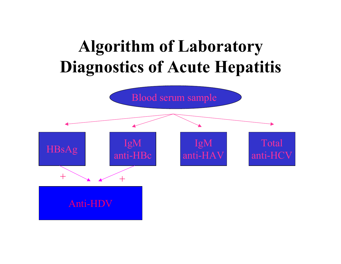# **Algorithm of Laboratory Diagnostics of Acute Hepatitis**

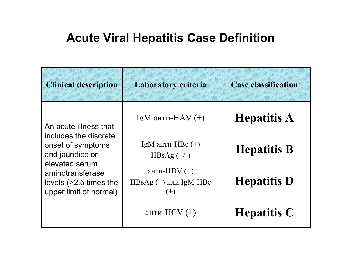## **Acute Viral Hepatitis Case Definition**

| <b>Clinical description</b>                                                                                                                                                      | <b>Laboratory criteria</b>                         | <b>Case classification</b> |
|----------------------------------------------------------------------------------------------------------------------------------------------------------------------------------|----------------------------------------------------|----------------------------|
| An acute illness that<br>includes the discrete<br>onset of symptoms<br>and jaundice or<br>elevated serum<br>aminotransferase<br>levels (>2.5 times the<br>upper limit of normal) | IgM анти-НАV $(+)$                                 | <b>Hepatitis A</b>         |
|                                                                                                                                                                                  | IgM анти-Н $\text{Bc}(+)$<br>HBsAg $(+/-)$         | <b>Hepatitis B</b>         |
|                                                                                                                                                                                  | анти-HDV $(+)$<br>$HBsAg (+)$ или IgM-HBc<br>$(+)$ | <b>Hepatitis D</b>         |
|                                                                                                                                                                                  | анти- $HCV$ (+)                                    | <b>Hepatitis C</b>         |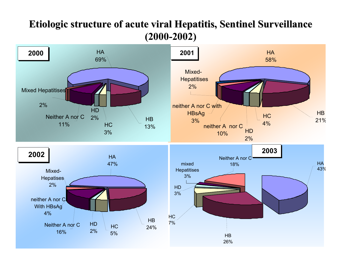#### **Etiologic structure of acute viral Hepatitis, Sentinel Surveillance (2000-2002)**

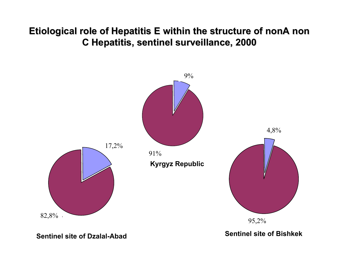#### **Etiological role of Hepatitis E within the structure of nonA non C Hepatitis, sentinel surveillance, 2000 C Hepatitis, sentinel surveillance, 2000**



**Sentinel site of Dzalal-Abad**

**Sentinel site of Bishkek**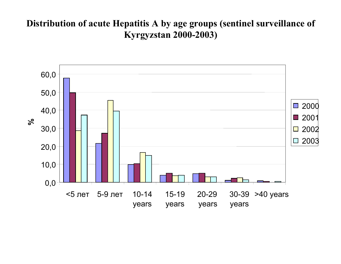#### **Distribution of acute Hepatitis A by age groups (sentinel surveillance of Kyrgyzstan 2000-2003)**

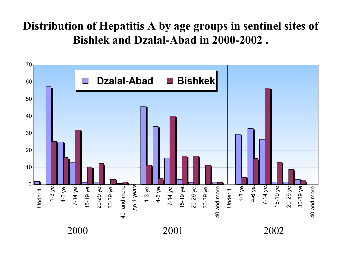## **Distribution of Hepatitis A by age groups in sentinel sites of Bishlekand Dzalal-Abadin 2000-2002 .**

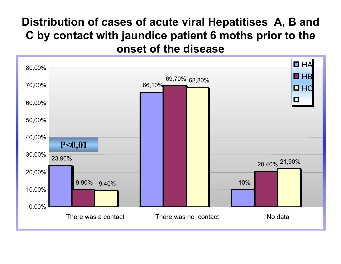### **Distribution of cases of acute viral Hepatitises А, В and С by contact with jaundice patient 6 moths prior to the onset of the disease**

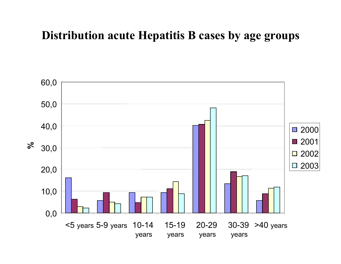## **Distribution acute Hepatitis B cases by age groups**

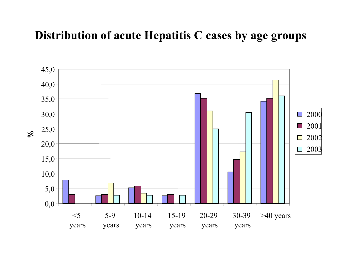## **Distribution of acute Hepatitis C cases by age groups**

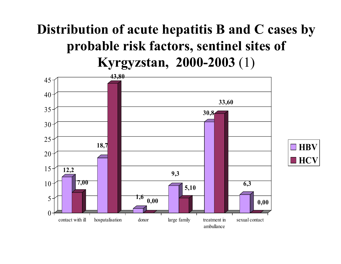# **Distribution of acute hepatitis B and C cases by probable risk factors, sentinel sites of Kyrgyzstan, 2000-2003** (1)

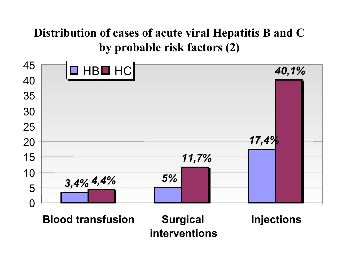# **Distribution of cases of acute viral Hepatitis В and С by probable risk factors (2)**



**interventions**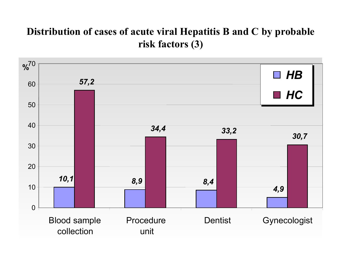#### **Distribution of cases of acute viral Hepatitis В and С by probable risk factors (3)**

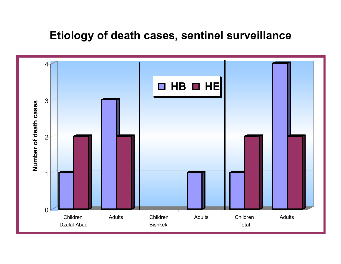#### **Etiology of death cases, sentinel surveillance**

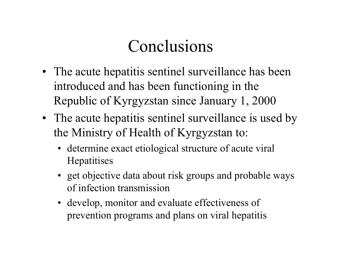# Conclusions

- The acute hepatitis sentinel surveillance has been introduced and has been functioning in the Republic of Kyrgyzstan since January 1, 2000
- The acute hepatitis sentinel surveillance is used by the Ministry of Health of Kyrgyzstan to:
	- determine exact etiological structure of acute viral **Hepatitises**
	- get objective data about risk groups and probable ways of infection transmission
	- develop, monitor and evaluate effectiveness of prevention programs and plans on viral hepatitis